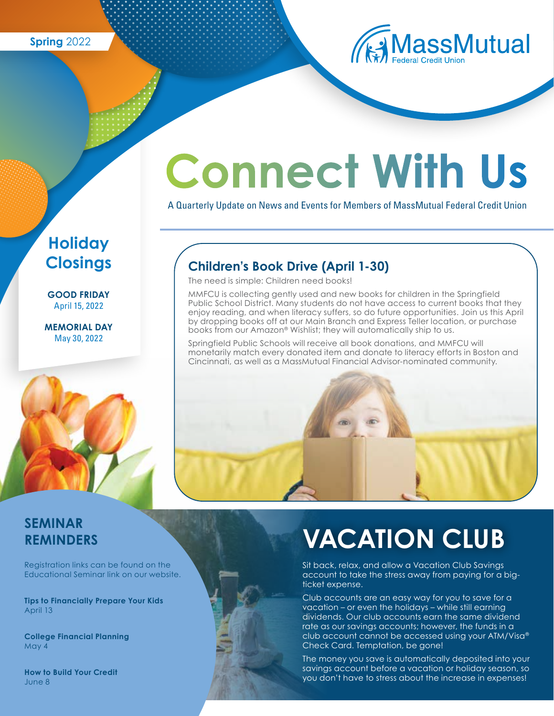**Spring** 2022



# **Connect With Us**

A Quarterly Update on News and Events for Members of MassMutual Federal Credit Union

## **Children's Book Drive (April 1-30)**

The need is simple: Children need books!

by dropping books off at our Main Branch and Express Teller location, or purchase<br>books from our Amazon® Wishlist; they will automatically ship to us. MMFCU is collecting gently used and new books for children in the Springfield Public School District. Many students do not have access to current books that they enjoy reading, and when literacy suffers, so do future opportunities. Join us this April books from our Amazon® Wishlist; they will automatically ship to us.

Springfield Public Schools will receive all book donations, and MMFCU will monetarily match every donated item and donate to literacy efforts in Boston and Cincinnati, as well as a MassMutual Financial Advisor-nominated community.



### **SEMINAR REMINDERS**

Registration links can be found on the Educational Seminar link on our website.

**Tips to Financially Prepare Your Kids**  April 13

**College Financial Planning** May 4

**How to Build Your Credit** June 8

## **VACATION CLUB**

Sit back, relax, and allow a Vacation Club Savings account to take the stress away from paying for a bigticket expense.

Club accounts are an easy way for you to save for a vacation – or even the holidays – while still earning dividends. Our club accounts earn the same dividend rate as our savings accounts; however, the funds in a club account cannot be accessed using your ATM/Visa® Check Card. Temptation, be gone!

The money you save is automatically deposited into your savings account before a vacation or holiday season, so you don't have to stress about the increase in expenses!

## **Holiday Closings**

**GOOD FRIDAY** April 15, 2022

**MEMORIAL DAY** May 30, 2022